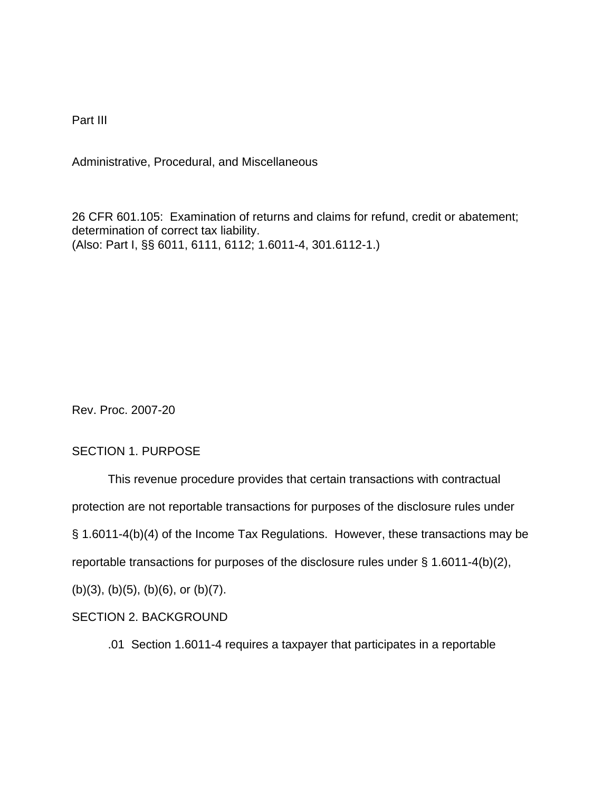Part III

Administrative, Procedural, and Miscellaneous

26 CFR 601.105: Examination of returns and claims for refund, credit or abatement; determination of correct tax liability. (Also: Part I, §§ 6011, 6111, 6112; 1.6011-4, 301.6112-1.)

Rev. Proc. 2007-20

## SECTION 1. PURPOSE

This revenue procedure provides that certain transactions with contractual protection are not reportable transactions for purposes of the disclosure rules under § 1.6011-4(b)(4) of the Income Tax Regulations. However, these transactions may be reportable transactions for purposes of the disclosure rules under § 1.6011-4(b)(2), (b)(3), (b)(5), (b)(6), or (b)(7).

# SECTION 2. BACKGROUND

.01 Section 1.6011-4 requires a taxpayer that participates in a reportable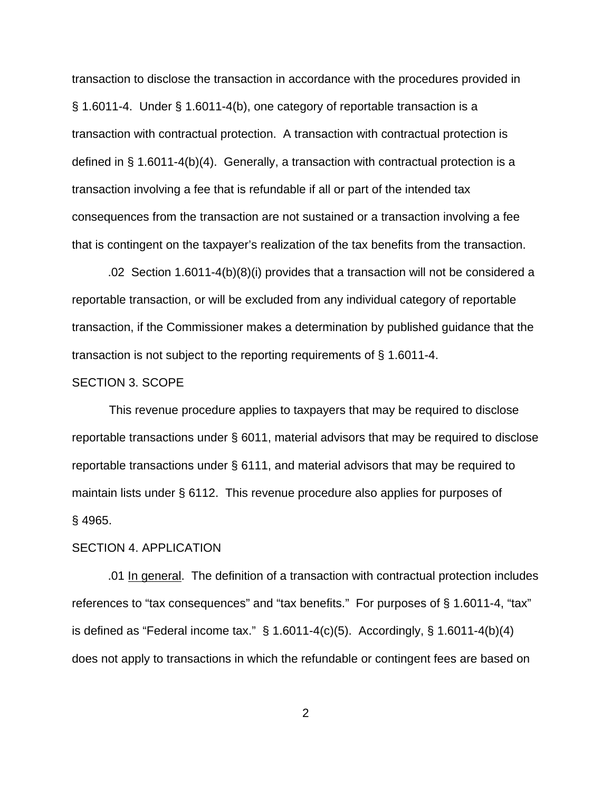transaction to disclose the transaction in accordance with the procedures provided in § 1.6011-4. Under § 1.6011-4(b), one category of reportable transaction is a transaction with contractual protection. A transaction with contractual protection is defined in § 1.6011-4(b)(4). Generally, a transaction with contractual protection is a transaction involving a fee that is refundable if all or part of the intended tax consequences from the transaction are not sustained or a transaction involving a fee that is contingent on the taxpayer's realization of the tax benefits from the transaction.

.02 Section 1.6011-4(b)(8)(i) provides that a transaction will not be considered a reportable transaction, or will be excluded from any individual category of reportable transaction, if the Commissioner makes a determination by published guidance that the transaction is not subject to the reporting requirements of § 1.6011-4.

#### SECTION 3. SCOPE

This revenue procedure applies to taxpayers that may be required to disclose reportable transactions under § 6011, material advisors that may be required to disclose reportable transactions under § 6111, and material advisors that may be required to maintain lists under § 6112. This revenue procedure also applies for purposes of § 4965.

#### SECTION 4. APPLICATION

.01 In general. The definition of a transaction with contractual protection includes references to "tax consequences" and "tax benefits." For purposes of § 1.6011-4, "tax" is defined as "Federal income tax."  $\S$  1.6011-4(c)(5). Accordingly,  $\S$  1.6011-4(b)(4) does not apply to transactions in which the refundable or contingent fees are based on

2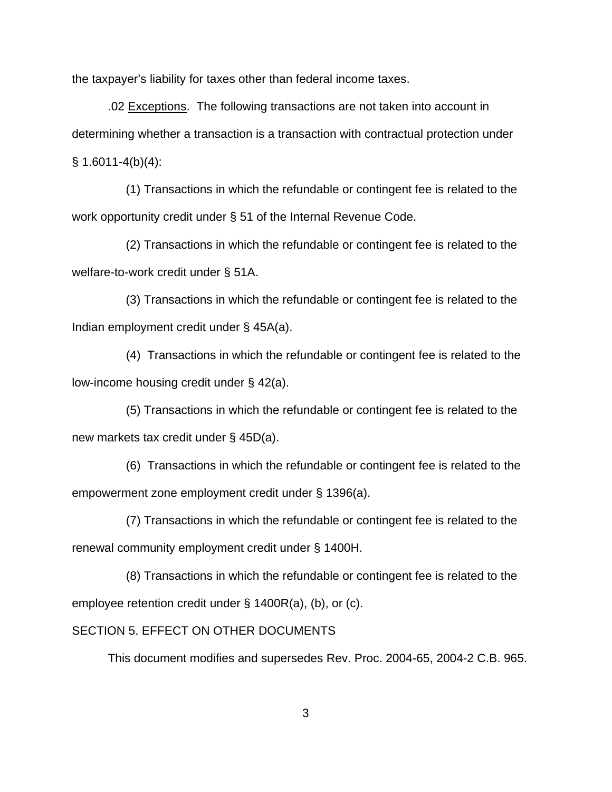the taxpayer's liability for taxes other than federal income taxes.

.02 Exceptions. The following transactions are not taken into account in determining whether a transaction is a transaction with contractual protection under  $§ 1.6011 - 4(b)(4):$ 

 (1) Transactions in which the refundable or contingent fee is related to the work opportunity credit under § 51 of the Internal Revenue Code.

 (2) Transactions in which the refundable or contingent fee is related to the welfare-to-work credit under § 51A.

 (3) Transactions in which the refundable or contingent fee is related to the Indian employment credit under § 45A(a).

 (4) Transactions in which the refundable or contingent fee is related to the low-income housing credit under § 42(a).

 (5) Transactions in which the refundable or contingent fee is related to the new markets tax credit under § 45D(a).

(6) Transactions in which the refundable or contingent fee is related to the empowerment zone employment credit under § 1396(a).

 (7) Transactions in which the refundable or contingent fee is related to the renewal community employment credit under § 1400H.

 (8) Transactions in which the refundable or contingent fee is related to the employee retention credit under § 1400R(a), (b), or (c).

### SECTION 5. EFFECT ON OTHER DOCUMENTS

This document modifies and supersedes Rev. Proc. 2004-65, 2004-2 C.B. 965.